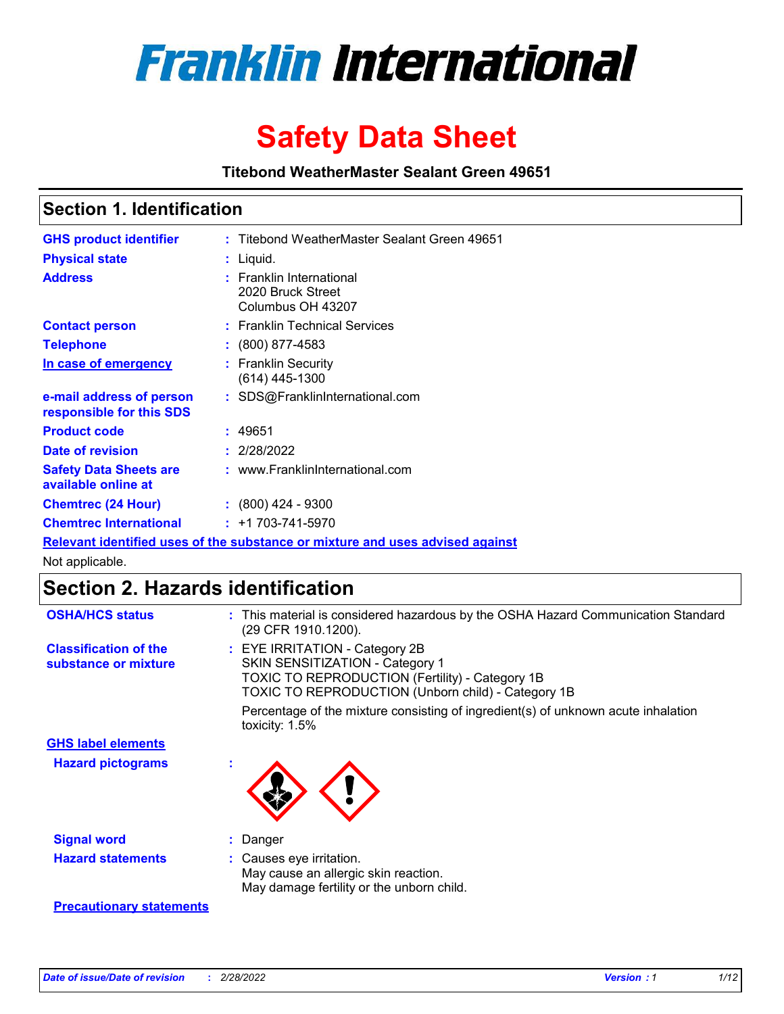

# **Safety Data Sheet**

**Titebond WeatherMaster Sealant Green 49651**

### **Section 1. Identification**

| <b>GHS product identifier</b>                                                 |  | : Titebond WeatherMaster Sealant Green 49651                       |  |  |  |
|-------------------------------------------------------------------------------|--|--------------------------------------------------------------------|--|--|--|
| <b>Physical state</b>                                                         |  | : Liquid.                                                          |  |  |  |
| <b>Address</b>                                                                |  | : Franklin International<br>2020 Bruck Street<br>Columbus OH 43207 |  |  |  |
| <b>Contact person</b>                                                         |  | : Franklin Technical Services                                      |  |  |  |
| <b>Telephone</b>                                                              |  | $\colon$ (800) 877-4583                                            |  |  |  |
| In case of emergency                                                          |  | : Franklin Security<br>$(614)$ 445-1300                            |  |  |  |
| e-mail address of person<br>responsible for this SDS                          |  | : SDS@FranklinInternational.com                                    |  |  |  |
| <b>Product code</b>                                                           |  | : 49651                                                            |  |  |  |
| Date of revision                                                              |  | : 2/28/2022                                                        |  |  |  |
| <b>Safety Data Sheets are</b><br>available online at                          |  | : www.FranklinInternational.com                                    |  |  |  |
| <b>Chemtrec (24 Hour)</b>                                                     |  | $: (800)$ 424 - 9300                                               |  |  |  |
| <b>Chemtrec International</b>                                                 |  | $: +1703 - 741 - 5970$                                             |  |  |  |
| Relevant identified uses of the substance or mixture and uses advised against |  |                                                                    |  |  |  |

Not applicable.

## **Section 2. Hazards identification**

| <b>OSHA/HCS status</b>                               | : This material is considered hazardous by the OSHA Hazard Communication Standard<br>(29 CFR 1910.1200).                                                                          |
|------------------------------------------------------|-----------------------------------------------------------------------------------------------------------------------------------------------------------------------------------|
| <b>Classification of the</b><br>substance or mixture | : EYE IRRITATION - Category 2B<br>SKIN SENSITIZATION - Category 1<br><b>TOXIC TO REPRODUCTION (Fertility) - Category 1B</b><br>TOXIC TO REPRODUCTION (Unborn child) - Category 1B |
|                                                      | Percentage of the mixture consisting of ingredient(s) of unknown acute inhalation<br>toxicity: $1.5\%$                                                                            |
| <b>GHS label elements</b>                            |                                                                                                                                                                                   |
| <b>Hazard pictograms</b>                             |                                                                                                                                                                                   |
| <b>Signal word</b>                                   | : Danger                                                                                                                                                                          |
| <b>Hazard statements</b>                             | : Causes eye irritation.<br>May cause an allergic skin reaction.<br>May damage fertility or the unborn child.                                                                     |
| <b>Precautionary statements</b>                      |                                                                                                                                                                                   |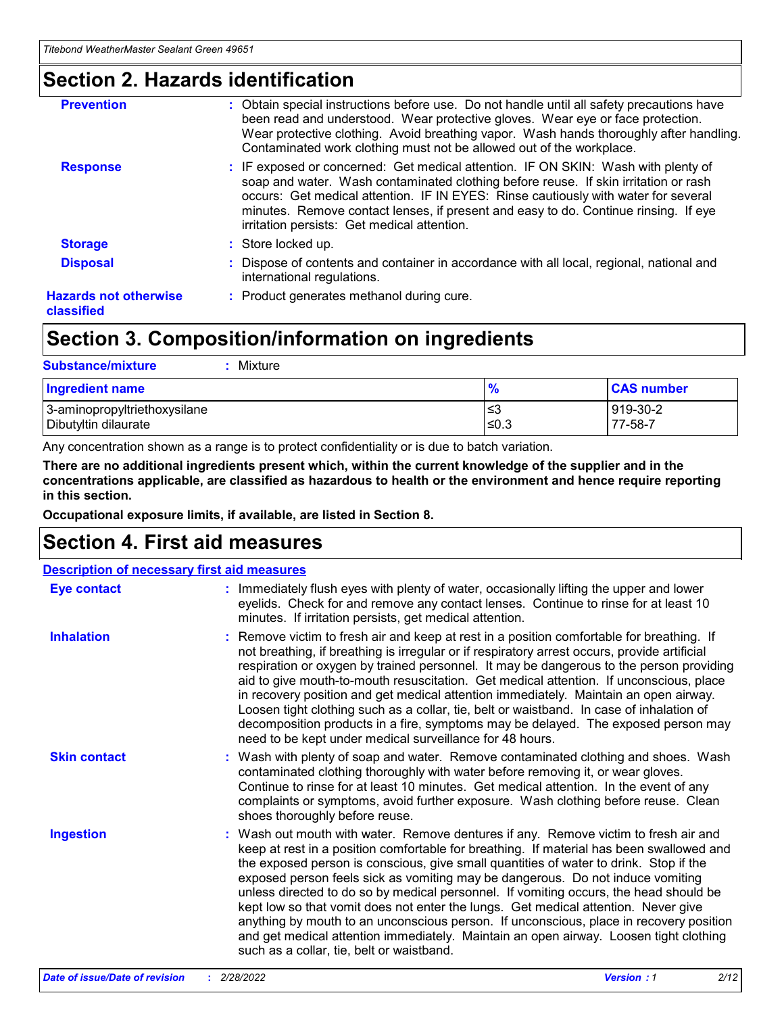### **Section 2. Hazards identification**

| <b>Prevention</b>                          | : Obtain special instructions before use. Do not handle until all safety precautions have<br>been read and understood. Wear protective gloves. Wear eye or face protection.<br>Wear protective clothing. Avoid breathing vapor. Wash hands thoroughly after handling.<br>Contaminated work clothing must not be allowed out of the workplace.                                                        |
|--------------------------------------------|------------------------------------------------------------------------------------------------------------------------------------------------------------------------------------------------------------------------------------------------------------------------------------------------------------------------------------------------------------------------------------------------------|
| <b>Response</b>                            | : IF exposed or concerned: Get medical attention. IF ON SKIN: Wash with plenty of<br>soap and water. Wash contaminated clothing before reuse. If skin irritation or rash<br>occurs: Get medical attention. IF IN EYES: Rinse cautiously with water for several<br>minutes. Remove contact lenses, if present and easy to do. Continue rinsing. If eye<br>irritation persists: Get medical attention. |
| <b>Storage</b>                             | : Store locked up.                                                                                                                                                                                                                                                                                                                                                                                   |
| <b>Disposal</b>                            | : Dispose of contents and container in accordance with all local, regional, national and<br>international regulations.                                                                                                                                                                                                                                                                               |
| <b>Hazards not otherwise</b><br>classified | : Product generates methanol during cure.                                                                                                                                                                                                                                                                                                                                                            |
|                                            |                                                                                                                                                                                                                                                                                                                                                                                                      |

### **Section 3. Composition/information on ingredients**

| <b>Substance/mixture</b><br>Mixture                  |               |                     |
|------------------------------------------------------|---------------|---------------------|
| <b>Ingredient name</b>                               | $\frac{9}{6}$ | <b>CAS number</b>   |
| 3-aminopropyltriethoxysilane<br>Dibutyltin dilaurate | ≤3<br>$≤0.3$  | 919-30-2<br>77-58-7 |

Any concentration shown as a range is to protect confidentiality or is due to batch variation.

**There are no additional ingredients present which, within the current knowledge of the supplier and in the concentrations applicable, are classified as hazardous to health or the environment and hence require reporting in this section.**

**Occupational exposure limits, if available, are listed in Section 8.**

### **Section 4. First aid measures**

| <b>Description of necessary first aid measures</b> |                                                                                                                                                                                                                                                                                                                                                                                                                                                                                                                                                                                                                                                                                                                                                                           |  |  |  |
|----------------------------------------------------|---------------------------------------------------------------------------------------------------------------------------------------------------------------------------------------------------------------------------------------------------------------------------------------------------------------------------------------------------------------------------------------------------------------------------------------------------------------------------------------------------------------------------------------------------------------------------------------------------------------------------------------------------------------------------------------------------------------------------------------------------------------------------|--|--|--|
| <b>Eye contact</b>                                 | : Immediately flush eyes with plenty of water, occasionally lifting the upper and lower<br>eyelids. Check for and remove any contact lenses. Continue to rinse for at least 10<br>minutes. If irritation persists, get medical attention.                                                                                                                                                                                                                                                                                                                                                                                                                                                                                                                                 |  |  |  |
| <b>Inhalation</b>                                  | : Remove victim to fresh air and keep at rest in a position comfortable for breathing. If<br>not breathing, if breathing is irregular or if respiratory arrest occurs, provide artificial<br>respiration or oxygen by trained personnel. It may be dangerous to the person providing<br>aid to give mouth-to-mouth resuscitation. Get medical attention. If unconscious, place<br>in recovery position and get medical attention immediately. Maintain an open airway.<br>Loosen tight clothing such as a collar, tie, belt or waistband. In case of inhalation of<br>decomposition products in a fire, symptoms may be delayed. The exposed person may<br>need to be kept under medical surveillance for 48 hours.                                                       |  |  |  |
| <b>Skin contact</b>                                | : Wash with plenty of soap and water. Remove contaminated clothing and shoes. Wash<br>contaminated clothing thoroughly with water before removing it, or wear gloves.<br>Continue to rinse for at least 10 minutes. Get medical attention. In the event of any<br>complaints or symptoms, avoid further exposure. Wash clothing before reuse. Clean<br>shoes thoroughly before reuse.                                                                                                                                                                                                                                                                                                                                                                                     |  |  |  |
| <b>Ingestion</b>                                   | : Wash out mouth with water. Remove dentures if any. Remove victim to fresh air and<br>keep at rest in a position comfortable for breathing. If material has been swallowed and<br>the exposed person is conscious, give small quantities of water to drink. Stop if the<br>exposed person feels sick as vomiting may be dangerous. Do not induce vomiting<br>unless directed to do so by medical personnel. If vomiting occurs, the head should be<br>kept low so that vomit does not enter the lungs. Get medical attention. Never give<br>anything by mouth to an unconscious person. If unconscious, place in recovery position<br>and get medical attention immediately. Maintain an open airway. Loosen tight clothing<br>such as a collar, tie, belt or waistband. |  |  |  |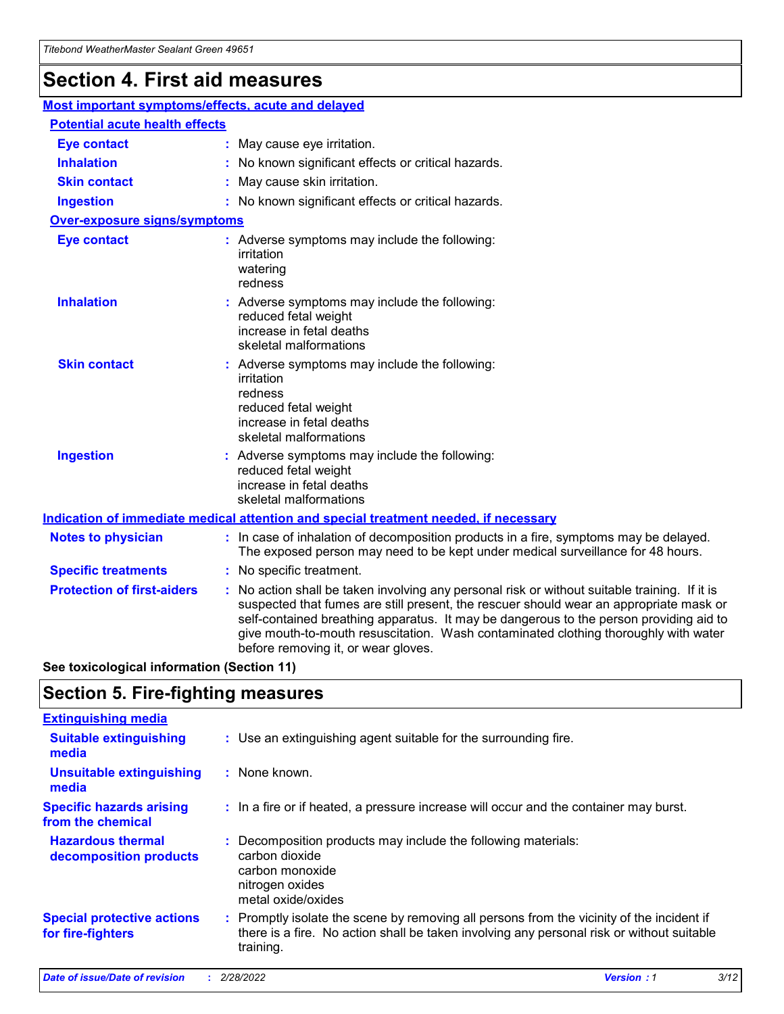## **Section 4. First aid measures**

| Most important symptoms/effects, acute and delayed |  |                                                                                                                                                                                                                                                                                                                                                                                                                 |  |
|----------------------------------------------------|--|-----------------------------------------------------------------------------------------------------------------------------------------------------------------------------------------------------------------------------------------------------------------------------------------------------------------------------------------------------------------------------------------------------------------|--|
| <b>Potential acute health effects</b>              |  |                                                                                                                                                                                                                                                                                                                                                                                                                 |  |
| <b>Eye contact</b>                                 |  | : May cause eye irritation.                                                                                                                                                                                                                                                                                                                                                                                     |  |
| <b>Inhalation</b>                                  |  | : No known significant effects or critical hazards.                                                                                                                                                                                                                                                                                                                                                             |  |
| <b>Skin contact</b>                                |  | : May cause skin irritation.                                                                                                                                                                                                                                                                                                                                                                                    |  |
| <b>Ingestion</b>                                   |  | : No known significant effects or critical hazards.                                                                                                                                                                                                                                                                                                                                                             |  |
| <b>Over-exposure signs/symptoms</b>                |  |                                                                                                                                                                                                                                                                                                                                                                                                                 |  |
| <b>Eye contact</b>                                 |  | : Adverse symptoms may include the following:<br>irritation<br>watering<br>redness                                                                                                                                                                                                                                                                                                                              |  |
| <b>Inhalation</b>                                  |  | : Adverse symptoms may include the following:<br>reduced fetal weight<br>increase in fetal deaths<br>skeletal malformations                                                                                                                                                                                                                                                                                     |  |
| <b>Skin contact</b>                                |  | : Adverse symptoms may include the following:<br>irritation<br>redness<br>reduced fetal weight<br>increase in fetal deaths<br>skeletal malformations                                                                                                                                                                                                                                                            |  |
| <b>Ingestion</b>                                   |  | : Adverse symptoms may include the following:<br>reduced fetal weight<br>increase in fetal deaths<br>skeletal malformations                                                                                                                                                                                                                                                                                     |  |
|                                                    |  | <b>Indication of immediate medical attention and special treatment needed, if necessary</b>                                                                                                                                                                                                                                                                                                                     |  |
| <b>Notes to physician</b>                          |  | : In case of inhalation of decomposition products in a fire, symptoms may be delayed.<br>The exposed person may need to be kept under medical surveillance for 48 hours.                                                                                                                                                                                                                                        |  |
| <b>Specific treatments</b>                         |  | : No specific treatment.                                                                                                                                                                                                                                                                                                                                                                                        |  |
| <b>Protection of first-aiders</b>                  |  | : No action shall be taken involving any personal risk or without suitable training. If it is<br>suspected that fumes are still present, the rescuer should wear an appropriate mask or<br>self-contained breathing apparatus. It may be dangerous to the person providing aid to<br>give mouth-to-mouth resuscitation. Wash contaminated clothing thoroughly with water<br>before removing it, or wear gloves. |  |

**See toxicological information (Section 11)**

### **Section 5. Fire-fighting measures**

| <b>Extinguishing media</b>                             |                                                                                                                                                                                                     |
|--------------------------------------------------------|-----------------------------------------------------------------------------------------------------------------------------------------------------------------------------------------------------|
| <b>Suitable extinguishing</b><br>media                 | : Use an extinguishing agent suitable for the surrounding fire.                                                                                                                                     |
| <b>Unsuitable extinguishing</b><br>media               | : None known.                                                                                                                                                                                       |
| <b>Specific hazards arising</b><br>from the chemical   | : In a fire or if heated, a pressure increase will occur and the container may burst.                                                                                                               |
| <b>Hazardous thermal</b><br>decomposition products     | : Decomposition products may include the following materials:<br>carbon dioxide<br>carbon monoxide<br>nitrogen oxides<br>metal oxide/oxides                                                         |
| <b>Special protective actions</b><br>for fire-fighters | : Promptly isolate the scene by removing all persons from the vicinity of the incident if<br>there is a fire. No action shall be taken involving any personal risk or without suitable<br>training. |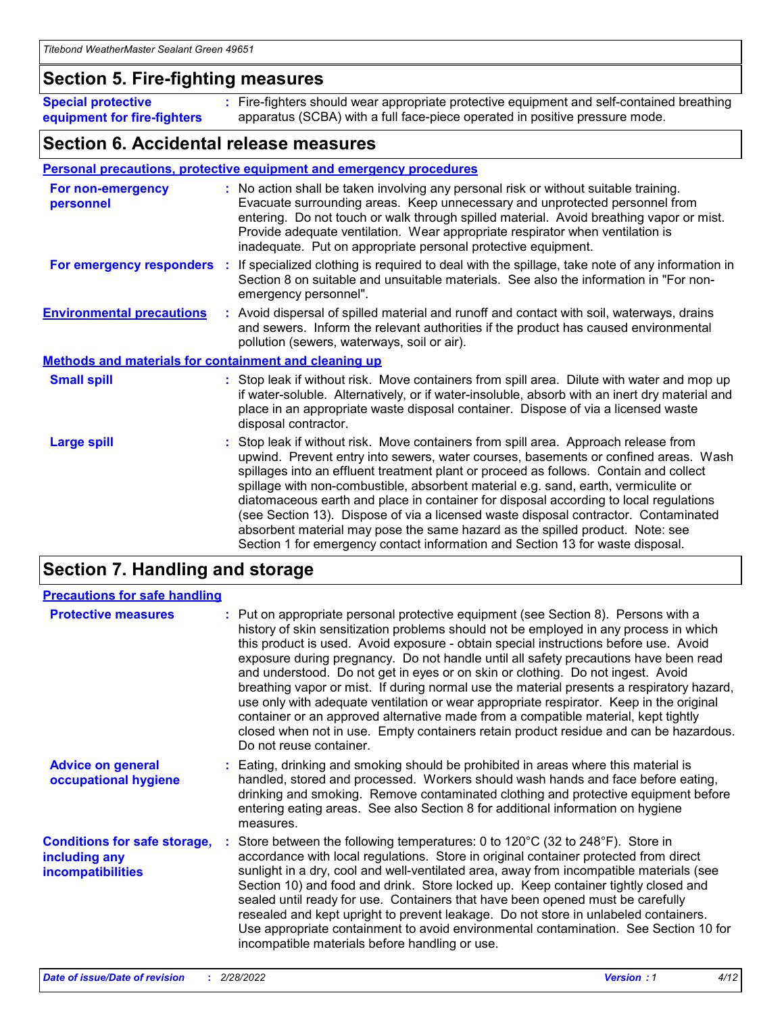### **Section 5. Fire-fighting measures**

**Special protective equipment for fire-fighters** Fire-fighters should wear appropriate protective equipment and self-contained breathing **:** apparatus (SCBA) with a full face-piece operated in positive pressure mode.

### **Section 6. Accidental release measures**

#### **Personal precautions, protective equipment and emergency procedures**

| For non-emergency<br>personnel                               |  | : No action shall be taken involving any personal risk or without suitable training.<br>Evacuate surrounding areas. Keep unnecessary and unprotected personnel from<br>entering. Do not touch or walk through spilled material. Avoid breathing vapor or mist.<br>Provide adequate ventilation. Wear appropriate respirator when ventilation is<br>inadequate. Put on appropriate personal protective equipment.                                                                                                                                                                                                                                                                                             |  |  |
|--------------------------------------------------------------|--|--------------------------------------------------------------------------------------------------------------------------------------------------------------------------------------------------------------------------------------------------------------------------------------------------------------------------------------------------------------------------------------------------------------------------------------------------------------------------------------------------------------------------------------------------------------------------------------------------------------------------------------------------------------------------------------------------------------|--|--|
| For emergency responders                                     |  | : If specialized clothing is required to deal with the spillage, take note of any information in<br>Section 8 on suitable and unsuitable materials. See also the information in "For non-<br>emergency personnel".                                                                                                                                                                                                                                                                                                                                                                                                                                                                                           |  |  |
| <b>Environmental precautions</b>                             |  | : Avoid dispersal of spilled material and runoff and contact with soil, waterways, drains<br>and sewers. Inform the relevant authorities if the product has caused environmental<br>pollution (sewers, waterways, soil or air).                                                                                                                                                                                                                                                                                                                                                                                                                                                                              |  |  |
| <b>Methods and materials for containment and cleaning up</b> |  |                                                                                                                                                                                                                                                                                                                                                                                                                                                                                                                                                                                                                                                                                                              |  |  |
| <b>Small spill</b>                                           |  | : Stop leak if without risk. Move containers from spill area. Dilute with water and mop up<br>if water-soluble. Alternatively, or if water-insoluble, absorb with an inert dry material and<br>place in an appropriate waste disposal container. Dispose of via a licensed waste<br>disposal contractor.                                                                                                                                                                                                                                                                                                                                                                                                     |  |  |
| <b>Large spill</b>                                           |  | : Stop leak if without risk. Move containers from spill area. Approach release from<br>upwind. Prevent entry into sewers, water courses, basements or confined areas. Wash<br>spillages into an effluent treatment plant or proceed as follows. Contain and collect<br>spillage with non-combustible, absorbent material e.g. sand, earth, vermiculite or<br>diatomaceous earth and place in container for disposal according to local regulations<br>(see Section 13). Dispose of via a licensed waste disposal contractor. Contaminated<br>absorbent material may pose the same hazard as the spilled product. Note: see<br>Section 1 for emergency contact information and Section 13 for waste disposal. |  |  |

### **Section 7. Handling and storage**

| <b>Precautions for safe handling</b>                                             |                                                                                                                                                                                                                                                                                                                                                                                                                                                                                                                                                                                                                                                                                                                                                                                                                                                  |
|----------------------------------------------------------------------------------|--------------------------------------------------------------------------------------------------------------------------------------------------------------------------------------------------------------------------------------------------------------------------------------------------------------------------------------------------------------------------------------------------------------------------------------------------------------------------------------------------------------------------------------------------------------------------------------------------------------------------------------------------------------------------------------------------------------------------------------------------------------------------------------------------------------------------------------------------|
| <b>Protective measures</b>                                                       | : Put on appropriate personal protective equipment (see Section 8). Persons with a<br>history of skin sensitization problems should not be employed in any process in which<br>this product is used. Avoid exposure - obtain special instructions before use. Avoid<br>exposure during pregnancy. Do not handle until all safety precautions have been read<br>and understood. Do not get in eyes or on skin or clothing. Do not ingest. Avoid<br>breathing vapor or mist. If during normal use the material presents a respiratory hazard,<br>use only with adequate ventilation or wear appropriate respirator. Keep in the original<br>container or an approved alternative made from a compatible material, kept tightly<br>closed when not in use. Empty containers retain product residue and can be hazardous.<br>Do not reuse container. |
| <b>Advice on general</b><br>occupational hygiene                                 | : Eating, drinking and smoking should be prohibited in areas where this material is<br>handled, stored and processed. Workers should wash hands and face before eating,<br>drinking and smoking. Remove contaminated clothing and protective equipment before<br>entering eating areas. See also Section 8 for additional information on hygiene<br>measures.                                                                                                                                                                                                                                                                                                                                                                                                                                                                                    |
| <b>Conditions for safe storage,</b><br>including any<br><b>incompatibilities</b> | Store between the following temperatures: 0 to $120^{\circ}$ C (32 to $248^{\circ}$ F). Store in<br>accordance with local regulations. Store in original container protected from direct<br>sunlight in a dry, cool and well-ventilated area, away from incompatible materials (see<br>Section 10) and food and drink. Store locked up. Keep container tightly closed and<br>sealed until ready for use. Containers that have been opened must be carefully<br>resealed and kept upright to prevent leakage. Do not store in unlabeled containers.<br>Use appropriate containment to avoid environmental contamination. See Section 10 for<br>incompatible materials before handling or use.                                                                                                                                                     |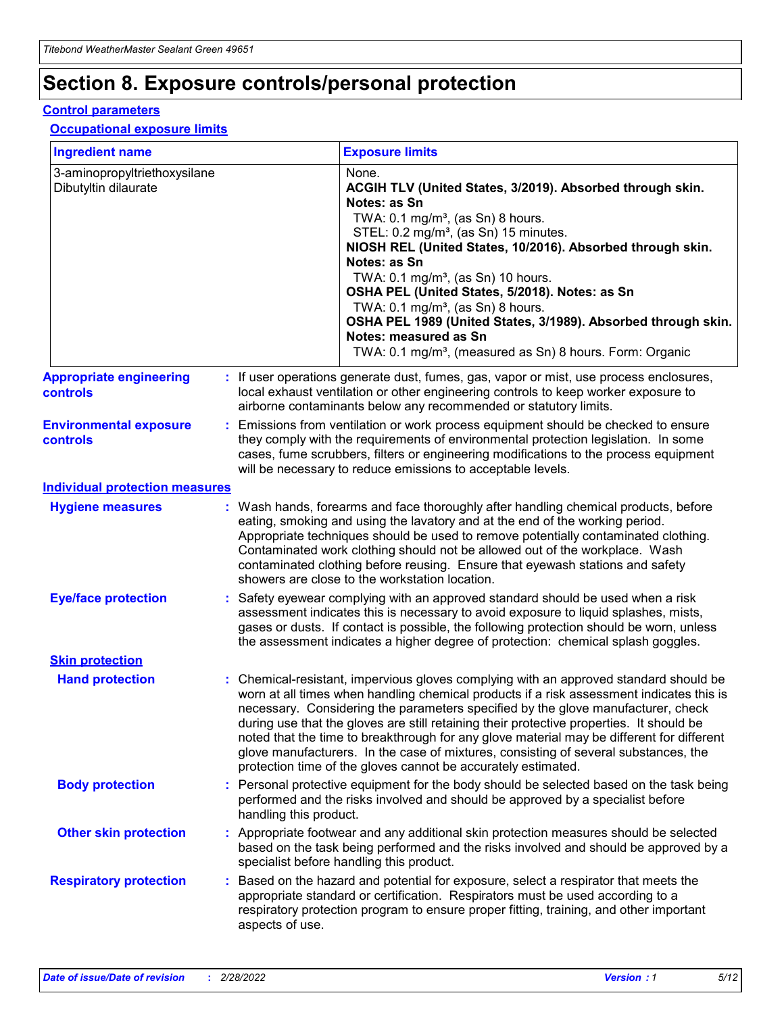## **Section 8. Exposure controls/personal protection**

#### **Control parameters**

#### **Occupational exposure limits**

| <b>Ingredient name</b>                               |    |                                          | <b>Exposure limits</b>                                                                                                                                                                                                                                                                                                                                                                                                                                                                                                                                                                                                 |
|------------------------------------------------------|----|------------------------------------------|------------------------------------------------------------------------------------------------------------------------------------------------------------------------------------------------------------------------------------------------------------------------------------------------------------------------------------------------------------------------------------------------------------------------------------------------------------------------------------------------------------------------------------------------------------------------------------------------------------------------|
| 3-aminopropyltriethoxysilane<br>Dibutyltin dilaurate |    |                                          | None.<br>ACGIH TLV (United States, 3/2019). Absorbed through skin.<br>Notes: as Sn<br>TWA: 0.1 mg/m <sup>3</sup> , (as Sn) 8 hours.<br>STEL: 0.2 mg/m <sup>3</sup> , (as Sn) 15 minutes.<br>NIOSH REL (United States, 10/2016). Absorbed through skin.<br>Notes: as Sn<br>TWA: 0.1 mg/m <sup>3</sup> , (as Sn) 10 hours.<br>OSHA PEL (United States, 5/2018). Notes: as Sn<br>TWA: $0.1 \text{ mg/m}^3$ , (as Sn) 8 hours.<br>OSHA PEL 1989 (United States, 3/1989). Absorbed through skin.<br>Notes: measured as Sn<br>TWA: 0.1 mg/m <sup>3</sup> , (measured as Sn) 8 hours. Form: Organic                           |
| <b>Appropriate engineering</b><br>controls           |    |                                          | : If user operations generate dust, fumes, gas, vapor or mist, use process enclosures,<br>local exhaust ventilation or other engineering controls to keep worker exposure to<br>airborne contaminants below any recommended or statutory limits.                                                                                                                                                                                                                                                                                                                                                                       |
| <b>Environmental exposure</b><br><b>controls</b>     |    |                                          | Emissions from ventilation or work process equipment should be checked to ensure<br>they comply with the requirements of environmental protection legislation. In some<br>cases, fume scrubbers, filters or engineering modifications to the process equipment<br>will be necessary to reduce emissions to acceptable levels.                                                                                                                                                                                                                                                                                          |
| <b>Individual protection measures</b>                |    |                                          |                                                                                                                                                                                                                                                                                                                                                                                                                                                                                                                                                                                                                        |
| <b>Hygiene measures</b>                              |    |                                          | : Wash hands, forearms and face thoroughly after handling chemical products, before<br>eating, smoking and using the lavatory and at the end of the working period.<br>Appropriate techniques should be used to remove potentially contaminated clothing.<br>Contaminated work clothing should not be allowed out of the workplace. Wash<br>contaminated clothing before reusing. Ensure that eyewash stations and safety<br>showers are close to the workstation location.                                                                                                                                            |
| <b>Eye/face protection</b>                           |    |                                          | : Safety eyewear complying with an approved standard should be used when a risk<br>assessment indicates this is necessary to avoid exposure to liquid splashes, mists,<br>gases or dusts. If contact is possible, the following protection should be worn, unless<br>the assessment indicates a higher degree of protection: chemical splash goggles.                                                                                                                                                                                                                                                                  |
| <b>Skin protection</b>                               |    |                                          |                                                                                                                                                                                                                                                                                                                                                                                                                                                                                                                                                                                                                        |
| <b>Hand protection</b>                               |    |                                          | : Chemical-resistant, impervious gloves complying with an approved standard should be<br>worn at all times when handling chemical products if a risk assessment indicates this is<br>necessary. Considering the parameters specified by the glove manufacturer, check<br>during use that the gloves are still retaining their protective properties. It should be<br>noted that the time to breakthrough for any glove material may be different for different<br>glove manufacturers. In the case of mixtures, consisting of several substances, the<br>protection time of the gloves cannot be accurately estimated. |
| <b>Body protection</b>                               |    | handling this product.                   | Personal protective equipment for the body should be selected based on the task being<br>performed and the risks involved and should be approved by a specialist before                                                                                                                                                                                                                                                                                                                                                                                                                                                |
| <b>Other skin protection</b>                         |    | specialist before handling this product. | : Appropriate footwear and any additional skin protection measures should be selected<br>based on the task being performed and the risks involved and should be approved by a                                                                                                                                                                                                                                                                                                                                                                                                                                          |
| <b>Respiratory protection</b>                        | ÷. | aspects of use.                          | Based on the hazard and potential for exposure, select a respirator that meets the<br>appropriate standard or certification. Respirators must be used according to a<br>respiratory protection program to ensure proper fitting, training, and other important                                                                                                                                                                                                                                                                                                                                                         |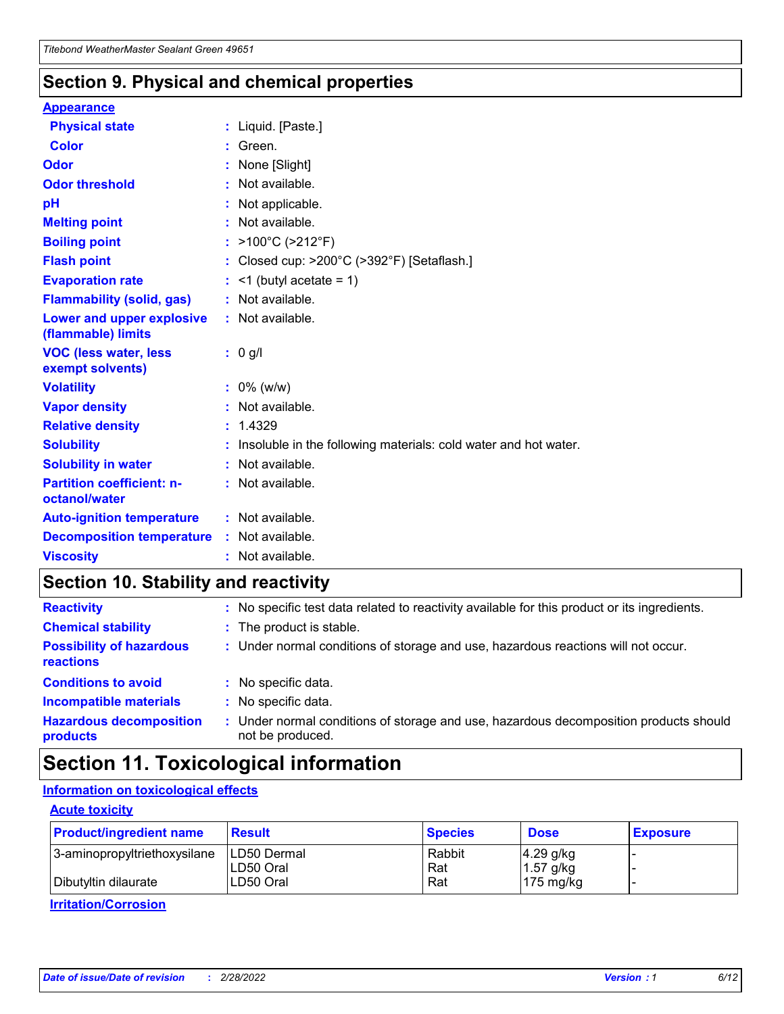### **Section 9. Physical and chemical properties**

#### **Appearance**

| <b>Physical state</b>                                  | : Liquid. [Paste.]                                              |
|--------------------------------------------------------|-----------------------------------------------------------------|
| <b>Color</b>                                           | Green.                                                          |
| Odor                                                   | None [Slight]                                                   |
| <b>Odor threshold</b>                                  | $:$ Not available.                                              |
| рH                                                     | : Not applicable.                                               |
| <b>Melting point</b>                                   | : Not available.                                                |
| <b>Boiling point</b>                                   | : >100°C (>212°F)                                               |
| <b>Flash point</b>                                     | : Closed cup: $>200^{\circ}$ C ( $>392^{\circ}$ F) [Setaflash.] |
| <b>Evaporation rate</b>                                | $:$ <1 (butyl acetate = 1)                                      |
| <b>Flammability (solid, gas)</b>                       | : Not available.                                                |
| <b>Lower and upper explosive</b><br>(flammable) limits | : Not available.                                                |
| <b>VOC (less water, less</b>                           | : 0 g/l                                                         |
| exempt solvents)                                       |                                                                 |
| <b>Volatility</b>                                      | $: 0\%$ (w/w)                                                   |
| <b>Vapor density</b>                                   | : Not available.                                                |
| <b>Relative density</b>                                | : 1.4329                                                        |
| <b>Solubility</b>                                      | Insoluble in the following materials: cold water and hot water. |
| <b>Solubility in water</b>                             | $:$ Not available.                                              |
| <b>Partition coefficient: n-</b><br>octanol/water      | $:$ Not available.                                              |
| <b>Auto-ignition temperature</b>                       | : Not available.                                                |
| <b>Decomposition temperature</b>                       | : Not available.                                                |

### **Section 10. Stability and reactivity**

| <b>Reactivity</b>                            | : No specific test data related to reactivity available for this product or its ingredients.            |
|----------------------------------------------|---------------------------------------------------------------------------------------------------------|
| <b>Chemical stability</b>                    | : The product is stable.                                                                                |
| <b>Possibility of hazardous</b><br>reactions | : Under normal conditions of storage and use, hazardous reactions will not occur.                       |
| <b>Conditions to avoid</b>                   | : No specific data.                                                                                     |
| <b>Incompatible materials</b>                | : No specific data.                                                                                     |
| <b>Hazardous decomposition</b><br>products   | Under normal conditions of storage and use, hazardous decomposition products should<br>not be produced. |

### **Section 11. Toxicological information**

### **Information on toxicological effects**

#### **Acute toxicity**

| <b>Product/ingredient name</b> | <b>Result</b>           | <b>Species</b> | <b>Dose</b>                | <b>Exposure</b> |
|--------------------------------|-------------------------|----------------|----------------------------|-----------------|
| 3-aminopropyltriethoxysilane   | <b>ILD50 Dermal</b>     | Rabbit         | 4.29 g/kg                  |                 |
| Dibutyltin dilaurate           | ILD50 Oral<br>LD50 Oral | Rat<br>Rat     | $1.57$ g/kg<br>175 $mg/kg$ |                 |
|                                |                         |                |                            |                 |

**Irritation/Corrosion**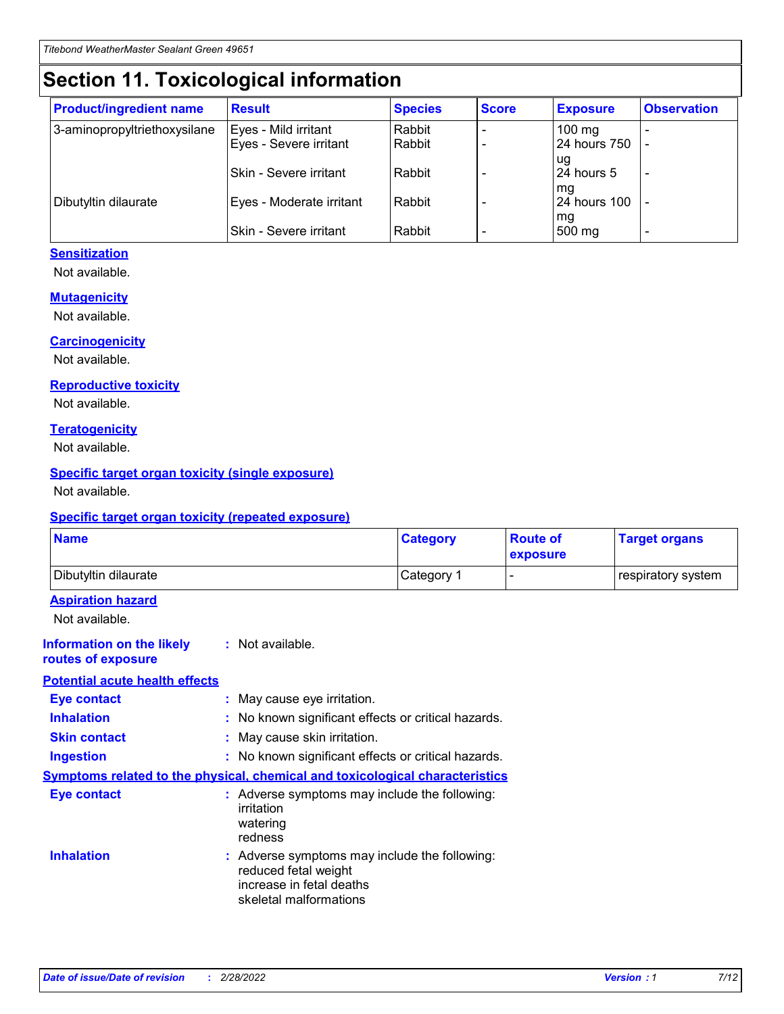## **Section 11. Toxicological information**

| <b>Product/ingredient name</b> | <b>Result</b>            | <b>Species</b> | <b>Score</b> | <b>Exposure</b>           | <b>Observation</b> |
|--------------------------------|--------------------------|----------------|--------------|---------------------------|--------------------|
| 3-aminopropyltriethoxysilane   | Eyes - Mild irritant     | Rabbit         |              | $100$ mg                  |                    |
|                                | Eyes - Severe irritant   | Rabbit         |              | 24 hours 750              |                    |
|                                |                          |                |              | ug                        |                    |
|                                | Skin - Severe irritant   | Rabbit         |              | 24 hours 5                | -                  |
| Dibutyltin dilaurate           | Eyes - Moderate irritant | Rabbit         |              | mq<br><b>24 hours 100</b> |                    |
|                                |                          |                |              | mg                        |                    |
|                                | Skin - Severe irritant   | Rabbit         |              | 500 mg                    |                    |

#### **Sensitization**

Not available.

#### **Mutagenicity**

Not available.

#### **Carcinogenicity**

Not available.

#### **Reproductive toxicity**

Not available.

#### **Teratogenicity**

Not available.

#### **Specific target organ toxicity (single exposure)**

Not available.

#### **Specific target organ toxicity (repeated exposure)**

| <b>Name</b>                                                                         |                                                                            | <b>Category</b>                                     | <b>Route of</b><br>exposure | <b>Target organs</b> |
|-------------------------------------------------------------------------------------|----------------------------------------------------------------------------|-----------------------------------------------------|-----------------------------|----------------------|
| Dibutyltin dilaurate                                                                |                                                                            | Category 1                                          | -                           | respiratory system   |
| <b>Aspiration hazard</b><br>Not available.                                          |                                                                            |                                                     |                             |                      |
| <b>Information on the likely</b><br>routes of exposure                              | : Not available.                                                           |                                                     |                             |                      |
| <b>Potential acute health effects</b>                                               |                                                                            |                                                     |                             |                      |
| <b>Eye contact</b>                                                                  | : May cause eye irritation.                                                |                                                     |                             |                      |
| <b>Inhalation</b>                                                                   |                                                                            | : No known significant effects or critical hazards. |                             |                      |
| <b>Skin contact</b>                                                                 | : May cause skin irritation.                                               |                                                     |                             |                      |
| <b>Ingestion</b>                                                                    |                                                                            | : No known significant effects or critical hazards. |                             |                      |
| <b>Symptoms related to the physical, chemical and toxicological characteristics</b> |                                                                            |                                                     |                             |                      |
| <b>Eye contact</b>                                                                  | irritation<br>watering<br>redness                                          | : Adverse symptoms may include the following:       |                             |                      |
| <b>Inhalation</b>                                                                   | reduced fetal weight<br>increase in fetal deaths<br>skeletal malformations | : Adverse symptoms may include the following:       |                             |                      |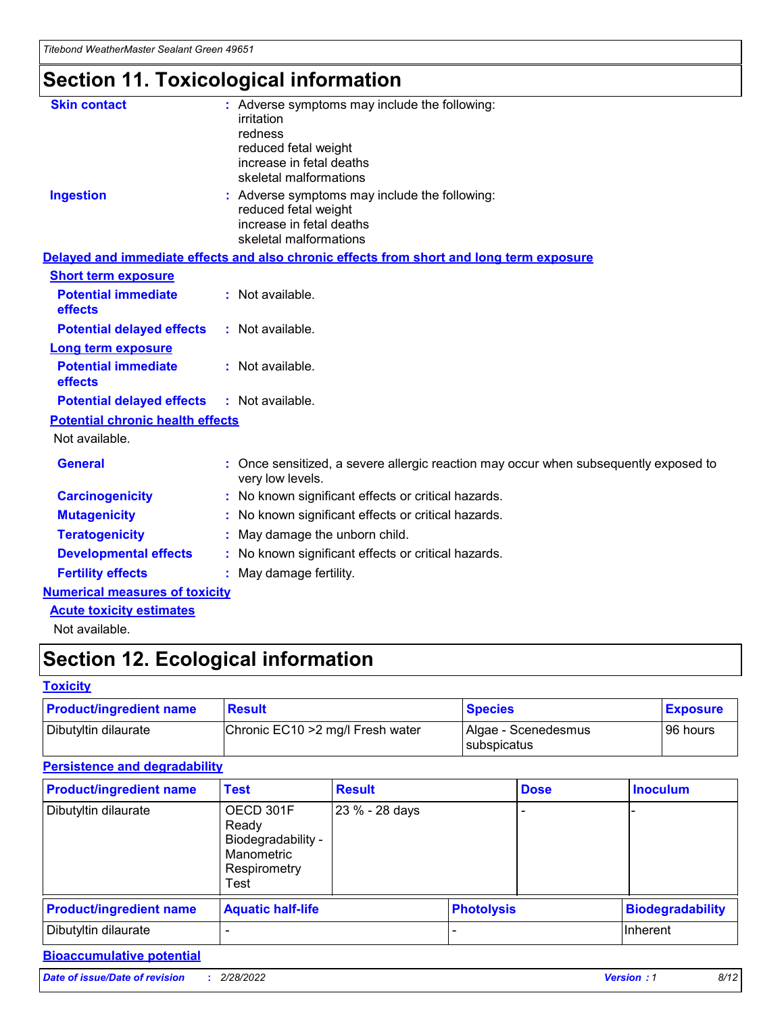# **Section 11. Toxicological information**

| <b>Skin contact</b>                     | : Adverse symptoms may include the following:<br>irritation<br>redness<br>reduced fetal weight<br>increase in fetal deaths<br>skeletal malformations |  |
|-----------------------------------------|------------------------------------------------------------------------------------------------------------------------------------------------------|--|
| <b>Ingestion</b>                        | : Adverse symptoms may include the following:<br>reduced fetal weight<br>increase in fetal deaths<br>skeletal malformations                          |  |
|                                         | Delayed and immediate effects and also chronic effects from short and long term exposure                                                             |  |
| <b>Short term exposure</b>              |                                                                                                                                                      |  |
| <b>Potential immediate</b><br>effects   | : Not available.                                                                                                                                     |  |
| <b>Potential delayed effects</b>        | : Not available.                                                                                                                                     |  |
| <b>Long term exposure</b>               |                                                                                                                                                      |  |
| <b>Potential immediate</b><br>effects   | : Not available.                                                                                                                                     |  |
| <b>Potential delayed effects</b>        | : Not available.                                                                                                                                     |  |
| <b>Potential chronic health effects</b> |                                                                                                                                                      |  |
| Not available.                          |                                                                                                                                                      |  |
| <b>General</b>                          | : Once sensitized, a severe allergic reaction may occur when subsequently exposed to<br>very low levels.                                             |  |
| <b>Carcinogenicity</b>                  | : No known significant effects or critical hazards.                                                                                                  |  |
| <b>Mutagenicity</b>                     | : No known significant effects or critical hazards.                                                                                                  |  |
| <b>Teratogenicity</b>                   | May damage the unborn child.                                                                                                                         |  |
| <b>Developmental effects</b>            | : No known significant effects or critical hazards.                                                                                                  |  |
| <b>Fertility effects</b>                | May damage fertility.                                                                                                                                |  |
| <b>Numerical measures of toxicity</b>   |                                                                                                                                                      |  |
| <b>Acute toxicity estimates</b>         |                                                                                                                                                      |  |
| الملحلة والمستحقق فالمرابط              |                                                                                                                                                      |  |

Not available.

## **Section 12. Ecological information**

#### **Toxicity**

| <b>Product/ingredient name</b> | <b>Result</b>                     | <b>Species</b>                       | <b>Exposure</b> |
|--------------------------------|-----------------------------------|--------------------------------------|-----------------|
| Dibutyltin dilaurate           | Chronic EC10 > 2 mg/l Fresh water | Algae - Scenedesmus<br>I subspicatus | l 96 hours      |

### **Persistence and degradability**

| <b>Product/ingredient name</b> | <b>Test</b>                                                                    | <b>Result</b>  |                   | <b>Dose</b> | <b>Inoculum</b>         |
|--------------------------------|--------------------------------------------------------------------------------|----------------|-------------------|-------------|-------------------------|
| Dibutyltin dilaurate           | OECD 301F<br>Ready<br>Biodegradability -<br>Manometric<br>Respirometry<br>Test | 23 % - 28 days |                   |             |                         |
| <b>Product/ingredient name</b> | <b>Aquatic half-life</b>                                                       |                | <b>Photolysis</b> |             | <b>Biodegradability</b> |
| Dibutyltin dilaurate           |                                                                                |                |                   |             | Inherent                |

### **Bioaccumulative potential**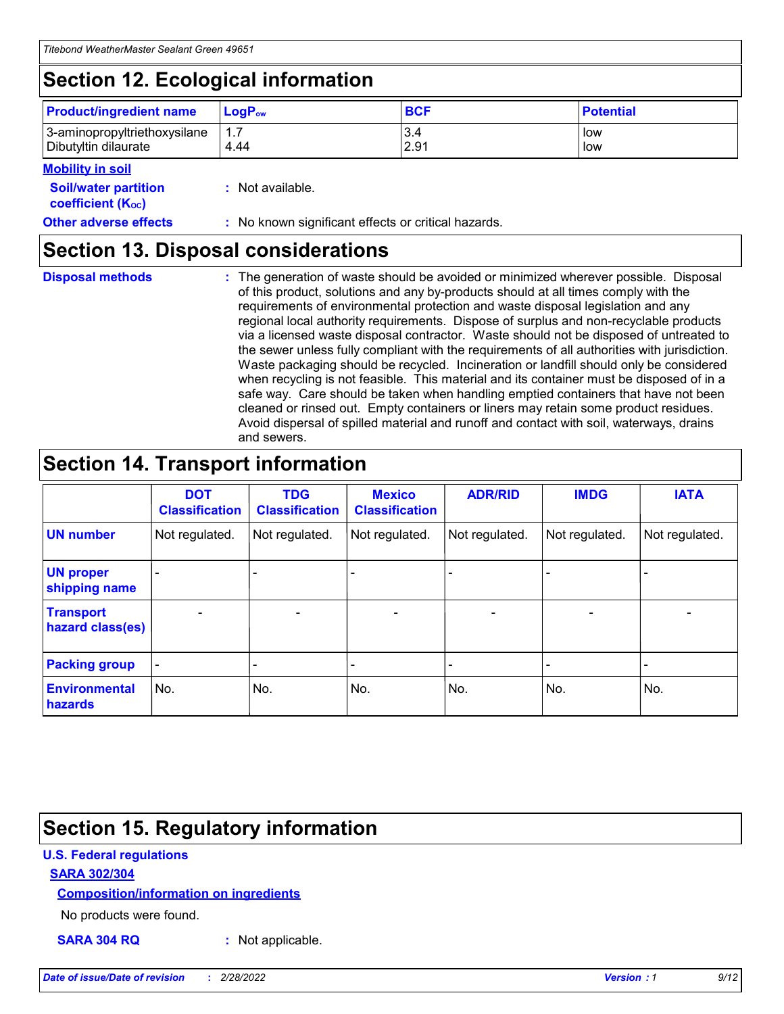## **Section 12. Ecological information**

| <b>Product/ingredient name</b> | $LoaPow$ | <b>BCF</b> | <b>Potential</b> |
|--------------------------------|----------|------------|------------------|
| 3-aminopropyltriethoxysilane   | 1.7      | 3.4        | low              |
| Dibutyltin dilaurate           | 4.44     | 2.91       | low              |

#### **Mobility in soil**

| <i></i>                                                       |                                                     |
|---------------------------------------------------------------|-----------------------------------------------------|
| <b>Soil/water partition</b><br>coefficient (K <sub>oc</sub> ) | : Not available.                                    |
| <b>Other adverse effects</b>                                  | : No known significant effects or critical hazards. |

### **Section 13. Disposal considerations**

**Disposal methods :**

The generation of waste should be avoided or minimized wherever possible. Disposal of this product, solutions and any by-products should at all times comply with the requirements of environmental protection and waste disposal legislation and any regional local authority requirements. Dispose of surplus and non-recyclable products via a licensed waste disposal contractor. Waste should not be disposed of untreated to the sewer unless fully compliant with the requirements of all authorities with jurisdiction. Waste packaging should be recycled. Incineration or landfill should only be considered when recycling is not feasible. This material and its container must be disposed of in a safe way. Care should be taken when handling emptied containers that have not been cleaned or rinsed out. Empty containers or liners may retain some product residues. Avoid dispersal of spilled material and runoff and contact with soil, waterways, drains and sewers.

## **Section 14. Transport information**

|                                      | <b>DOT</b><br><b>Classification</b> | <b>TDG</b><br><b>Classification</b> | <b>Mexico</b><br><b>Classification</b> | <b>ADR/RID</b>           | <b>IMDG</b>              | <b>IATA</b>              |
|--------------------------------------|-------------------------------------|-------------------------------------|----------------------------------------|--------------------------|--------------------------|--------------------------|
| <b>UN number</b>                     | Not regulated.                      | Not regulated.                      | Not regulated.                         | Not regulated.           | Not regulated.           | Not regulated.           |
| <b>UN proper</b><br>shipping name    | $\qquad \qquad \blacksquare$        |                                     |                                        |                          |                          |                          |
| <b>Transport</b><br>hazard class(es) | $\blacksquare$                      | $\blacksquare$                      | $\blacksquare$                         | $\overline{\phantom{a}}$ | $\blacksquare$           | $\blacksquare$           |
| <b>Packing group</b>                 | $\overline{\phantom{a}}$            | $\overline{\phantom{0}}$            | $\overline{\phantom{0}}$               | -                        | $\overline{\phantom{0}}$ | $\overline{\phantom{a}}$ |
| <b>Environmental</b><br>hazards      | No.                                 | No.                                 | No.                                    | No.                      | No.                      | No.                      |

## **Section 15. Regulatory information**

#### **U.S. Federal regulations**

#### **SARA 302/304**

#### **Composition/information on ingredients**

No products were found.

**SARA 304 RQ :** Not applicable.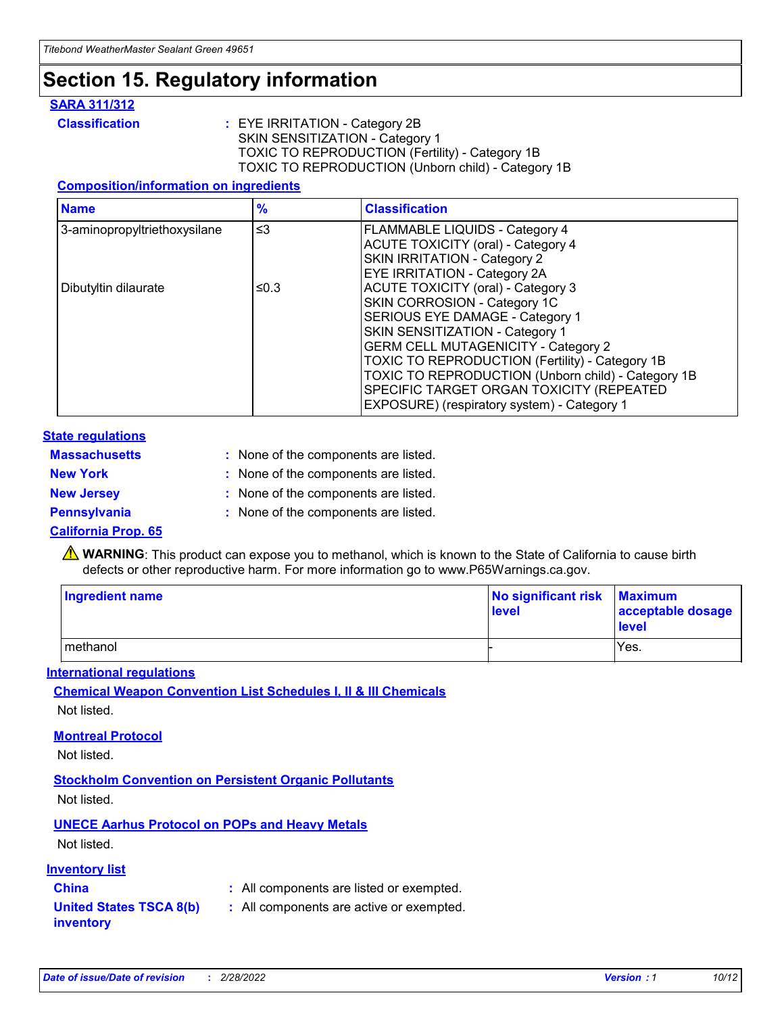## **Section 15. Regulatory information**

#### **SARA 311/312**

**Classification :** EYE IRRITATION - Category 2B SKIN SENSITIZATION - Category 1 TOXIC TO REPRODUCTION (Fertility) - Category 1B TOXIC TO REPRODUCTION (Unborn child) - Category 1B

#### **Composition/information on ingredients**

| <b>Name</b>                  | $\frac{9}{6}$ | <b>Classification</b>                                                                                                                                                                                                                                                                                                                  |
|------------------------------|---------------|----------------------------------------------------------------------------------------------------------------------------------------------------------------------------------------------------------------------------------------------------------------------------------------------------------------------------------------|
| 3-aminopropyltriethoxysilane | $\leq$ 3      | <b>FLAMMABLE LIQUIDS - Category 4</b><br><b>ACUTE TOXICITY (oral) - Category 4</b><br>SKIN IRRITATION - Category 2                                                                                                                                                                                                                     |
| Dibutyltin dilaurate         | ≤0.3          | EYE IRRITATION - Category 2A<br><b>ACUTE TOXICITY (oral) - Category 3</b><br>SKIN CORROSION - Category 1C<br>SERIOUS EYE DAMAGE - Category 1<br>SKIN SENSITIZATION - Category 1<br><b>GERM CELL MUTAGENICITY - Category 2</b><br>TOXIC TO REPRODUCTION (Fertility) - Category 1B<br>TOXIC TO REPRODUCTION (Unborn child) - Category 1B |
|                              |               | SPECIFIC TARGET ORGAN TOXICITY (REPEATED<br>EXPOSURE) (respiratory system) - Category 1                                                                                                                                                                                                                                                |

#### **State regulations**

| <b>Massachusetts</b> | : None of the components are listed. |
|----------------------|--------------------------------------|
| <b>New York</b>      | : None of the components are listed. |
| <b>New Jersey</b>    | : None of the components are listed. |
| <b>Pennsylvania</b>  | : None of the components are listed. |

#### **California Prop. 65**

**A** WARNING: This product can expose you to methanol, which is known to the State of California to cause birth defects or other reproductive harm. For more information go to www.P65Warnings.ca.gov.

| <b>Ingredient name</b> | No significant risk Maximum<br>level | acceptable dosage<br>level |
|------------------------|--------------------------------------|----------------------------|
| methanol               |                                      | Yes.                       |

#### **International regulations**

**Chemical Weapon Convention List Schedules I, II & III Chemicals** Not listed.

#### **Montreal Protocol**

Not listed.

**Stockholm Convention on Persistent Organic Pollutants**

Not listed.

### **UNECE Aarhus Protocol on POPs and Heavy Metals**

Not listed.

#### **Inventory list**

### **China :** All components are listed or exempted.

**United States TSCA 8(b) inventory :** All components are active or exempted.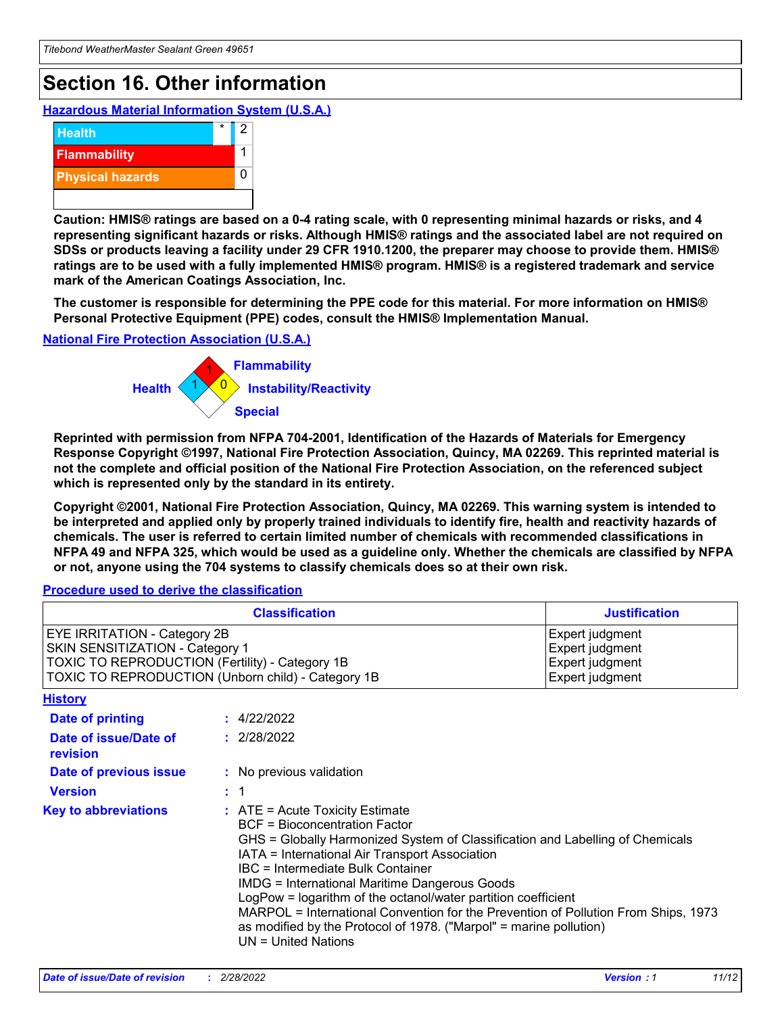## **Section 16. Other information**

**Hazardous Material Information System (U.S.A.)**



**Caution: HMIS® ratings are based on a 0-4 rating scale, with 0 representing minimal hazards or risks, and 4 representing significant hazards or risks. Although HMIS® ratings and the associated label are not required on SDSs or products leaving a facility under 29 CFR 1910.1200, the preparer may choose to provide them. HMIS® ratings are to be used with a fully implemented HMIS® program. HMIS® is a registered trademark and service mark of the American Coatings Association, Inc.**

**The customer is responsible for determining the PPE code for this material. For more information on HMIS® Personal Protective Equipment (PPE) codes, consult the HMIS® Implementation Manual.**

#### **National Fire Protection Association (U.S.A.)**



**Reprinted with permission from NFPA 704-2001, Identification of the Hazards of Materials for Emergency Response Copyright ©1997, National Fire Protection Association, Quincy, MA 02269. This reprinted material is not the complete and official position of the National Fire Protection Association, on the referenced subject which is represented only by the standard in its entirety.**

**Copyright ©2001, National Fire Protection Association, Quincy, MA 02269. This warning system is intended to be interpreted and applied only by properly trained individuals to identify fire, health and reactivity hazards of chemicals. The user is referred to certain limited number of chemicals with recommended classifications in NFPA 49 and NFPA 325, which would be used as a guideline only. Whether the chemicals are classified by NFPA or not, anyone using the 704 systems to classify chemicals does so at their own risk.**

#### **Procedure used to derive the classification**

|                                                                                                                    | <b>Classification</b><br><b>Justification</b>                                                                                                                                                                                                                                                                                                                                                                                                                                                                                                                 |  |
|--------------------------------------------------------------------------------------------------------------------|---------------------------------------------------------------------------------------------------------------------------------------------------------------------------------------------------------------------------------------------------------------------------------------------------------------------------------------------------------------------------------------------------------------------------------------------------------------------------------------------------------------------------------------------------------------|--|
| EYE IRRITATION - Category 2B<br>SKIN SENSITIZATION - Category 1<br>TOXIC TO REPRODUCTION (Fertility) - Category 1B | Expert judgment<br>Expert judgment<br>Expert judgment<br>TOXIC TO REPRODUCTION (Unborn child) - Category 1B<br>Expert judgment                                                                                                                                                                                                                                                                                                                                                                                                                                |  |
| <b>History</b>                                                                                                     |                                                                                                                                                                                                                                                                                                                                                                                                                                                                                                                                                               |  |
| <b>Date of printing</b>                                                                                            | : 4/22/2022                                                                                                                                                                                                                                                                                                                                                                                                                                                                                                                                                   |  |
| Date of issue/Date of<br>revision                                                                                  | : 2/28/2022                                                                                                                                                                                                                                                                                                                                                                                                                                                                                                                                                   |  |
| Date of previous issue                                                                                             | : No previous validation                                                                                                                                                                                                                                                                                                                                                                                                                                                                                                                                      |  |
| <b>Version</b>                                                                                                     | : 1                                                                                                                                                                                                                                                                                                                                                                                                                                                                                                                                                           |  |
| <b>Key to abbreviations</b>                                                                                        | $:$ ATE = Acute Toxicity Estimate<br><b>BCF</b> = Bioconcentration Factor<br>GHS = Globally Harmonized System of Classification and Labelling of Chemicals<br>IATA = International Air Transport Association<br>IBC = Intermediate Bulk Container<br><b>IMDG = International Maritime Dangerous Goods</b><br>LogPow = logarithm of the octanol/water partition coefficient<br>MARPOL = International Convention for the Prevention of Pollution From Ships, 1973<br>as modified by the Protocol of 1978. ("Marpol" = marine pollution)<br>UN = United Nations |  |